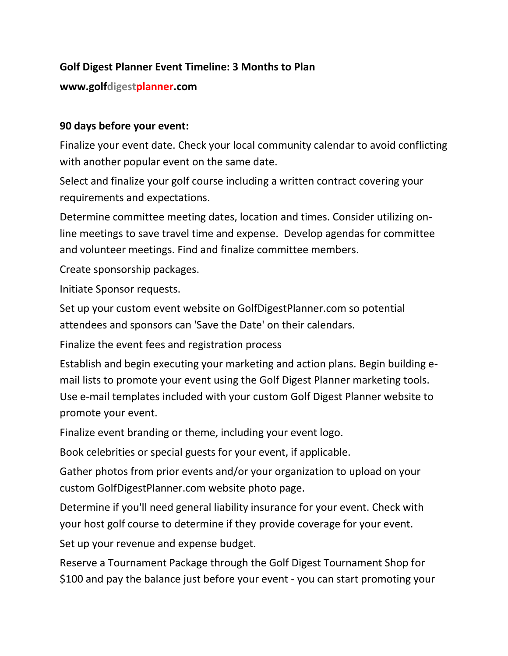# **Golf Digest Planner Event Timeline: 3 Months to Plan**

#### **www.golfdigestplanner.com**

### **90 days before your event:**

Finalize your event date. Check your local community calendar to avoid conflicting with another popular event on the same date.

Select and finalize your golf course including a written contract covering your requirements and expectations.

Determine committee meeting dates, location and times. Consider utilizing online meetings to save travel time and expense. Develop agendas for committee and volunteer meetings. Find and finalize committee members.

Create sponsorship packages.

Initiate Sponsor requests.

Set up your custom event website on GolfDigestPlanner.com so potential attendees and sponsors can 'Save the Date' on their calendars.

Finalize the event fees and registration process

Establish and begin executing your marketing and action plans. Begin building email lists to promote your event using the Golf Digest Planner marketing tools. Use e-mail templates included with your custom Golf Digest Planner website to promote your event.

Finalize event branding or theme, including your event logo.

Book celebrities or special guests for your event, if applicable.

Gather photos from prior events and/or your organization to upload on your custom GolfDigestPlanner.com website photo page.

Determine if you'll need general liability insurance for your event. Check with your host golf course to determine if they provide coverage for your event.

Set up your revenue and expense budget.

Reserve a Tournament Package through the Golf Digest Tournament Shop for \$100 and pay the balance just before your event - you can start promoting your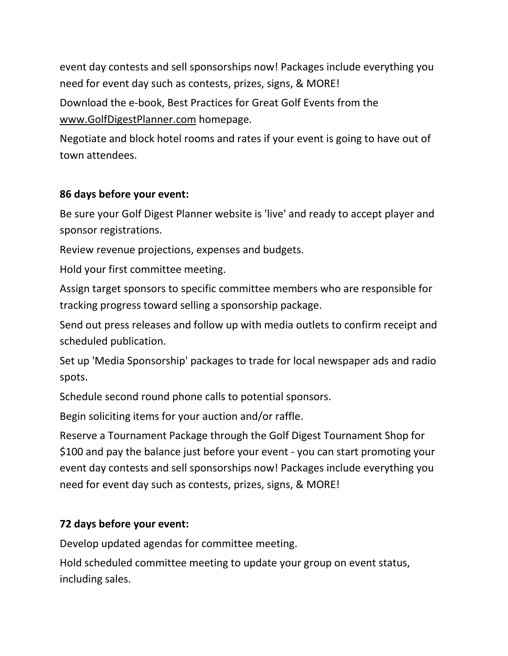event day contests and sell sponsorships now! Packages include everything you need for event day such as contests, prizes, signs, & MORE! Download the e-book, Best Practices for Great Golf Events from the [www.GolfDigestPlanner.com](http://www.golfdigestplanner.com/) homepage.

Negotiate and block hotel rooms and rates if your event is going to have out of town attendees.

### **86 days before your event:**

Be sure your Golf Digest Planner website is 'live' and ready to accept player and sponsor registrations.

Review revenue projections, expenses and budgets.

Hold your first committee meeting.

Assign target sponsors to specific committee members who are responsible for tracking progress toward selling a sponsorship package.

Send out press releases and follow up with media outlets to confirm receipt and scheduled publication.

Set up 'Media Sponsorship' packages to trade for local newspaper ads and radio spots.

Schedule second round phone calls to potential sponsors.

Begin soliciting items for your auction and/or raffle.

Reserve a Tournament Package through the Golf Digest Tournament Shop for \$100 and pay the balance just before your event - you can start promoting your event day contests and sell sponsorships now! Packages include everything you need for event day such as contests, prizes, signs, & MORE!

## **72 days before your event:**

Develop updated agendas for committee meeting.

Hold scheduled committee meeting to update your group on event status, including sales.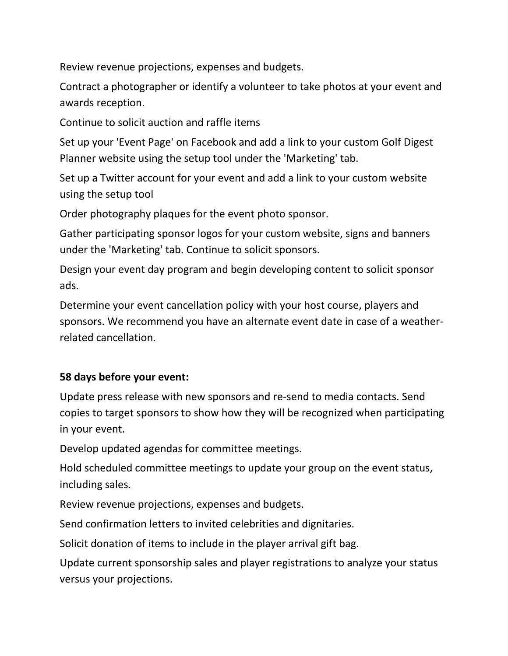Review revenue projections, expenses and budgets.

Contract a photographer or identify a volunteer to take photos at your event and awards reception.

Continue to solicit auction and raffle items

Set up your 'Event Page' on Facebook and add a link to your custom Golf Digest Planner website using the setup tool under the 'Marketing' tab.

Set up a Twitter account for your event and add a link to your custom website using the setup tool

Order photography plaques for the event photo sponsor.

Gather participating sponsor logos for your custom website, signs and banners under the 'Marketing' tab. Continue to solicit sponsors.

Design your event day program and begin developing content to solicit sponsor ads.

Determine your event cancellation policy with your host course, players and sponsors. We recommend you have an alternate event date in case of a weatherrelated cancellation.

## **58 days before your event:**

Update press release with new sponsors and re-send to media contacts. Send copies to target sponsors to show how they will be recognized when participating in your event.

Develop updated agendas for committee meetings.

Hold scheduled committee meetings to update your group on the event status, including sales.

Review revenue projections, expenses and budgets.

Send confirmation letters to invited celebrities and dignitaries.

Solicit donation of items to include in the player arrival gift bag.

Update current sponsorship sales and player registrations to analyze your status versus your projections.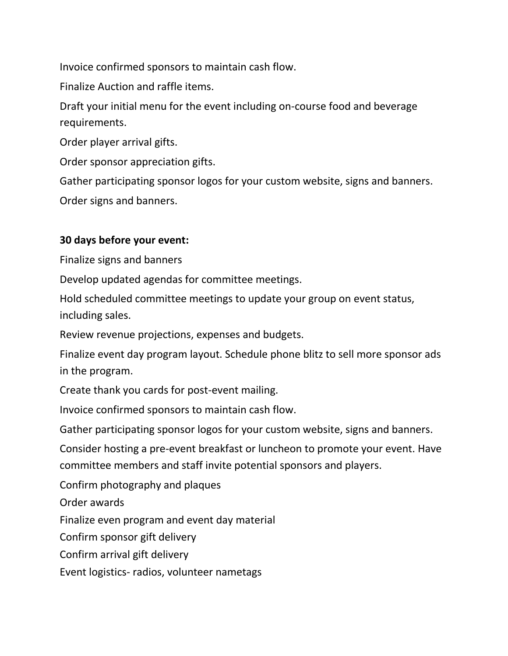Invoice confirmed sponsors to maintain cash flow.

Finalize Auction and raffle items.

Draft your initial menu for the event including on-course food and beverage requirements.

Order player arrival gifts.

Order sponsor appreciation gifts.

Gather participating sponsor logos for your custom website, signs and banners. Order signs and banners.

## **30 days before your event:**

Finalize signs and banners

Develop updated agendas for committee meetings.

Hold scheduled committee meetings to update your group on event status, including sales.

Review revenue projections, expenses and budgets.

Finalize event day program layout. Schedule phone blitz to sell more sponsor ads in the program.

Create thank you cards for post-event mailing.

Invoice confirmed sponsors to maintain cash flow.

Gather participating sponsor logos for your custom website, signs and banners.

Consider hosting a pre-event breakfast or luncheon to promote your event. Have committee members and staff invite potential sponsors and players.

Confirm photography and plaques

Order awards

Finalize even program and event day material

Confirm sponsor gift delivery

Confirm arrival gift delivery

Event logistics- radios, volunteer nametags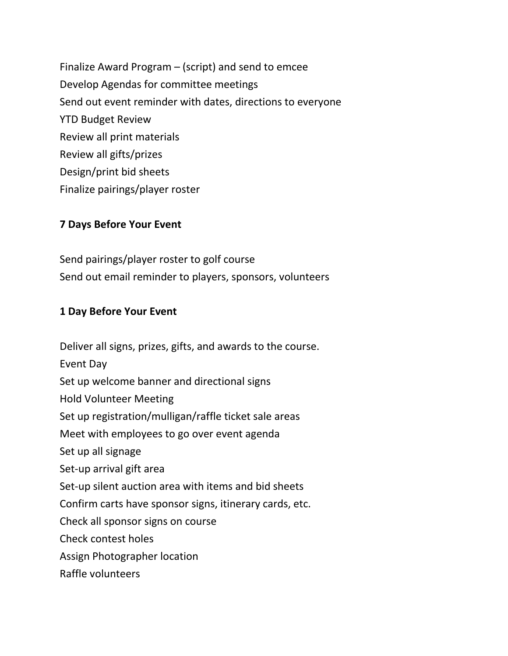Finalize Award Program – (script) and send to emcee Develop Agendas for committee meetings Send out event reminder with dates, directions to everyone YTD Budget Review Review all print materials Review all gifts/prizes Design/print bid sheets Finalize pairings/player roster

### **7 Days Before Your Event**

Send pairings/player roster to golf course Send out email reminder to players, sponsors, volunteers

### **1 Day Before Your Event**

Deliver all signs, prizes, gifts, and awards to the course. Event Day Set up welcome banner and directional signs Hold Volunteer Meeting Set up registration/mulligan/raffle ticket sale areas Meet with employees to go over event agenda Set up all signage Set-up arrival gift area Set-up silent auction area with items and bid sheets Confirm carts have sponsor signs, itinerary cards, etc. Check all sponsor signs on course Check contest holes Assign Photographer location Raffle volunteers